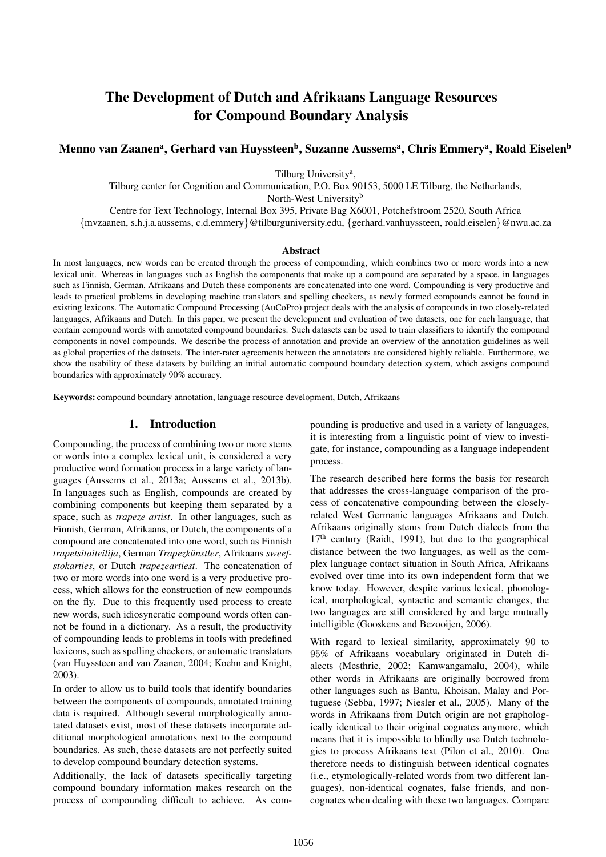# The Development of Dutch and Afrikaans Language Resources for Compound Boundary Analysis

# Menno van Zaanenª, Gerhard van Huyssteen<sup>b</sup>, Suzanne Aussemsª, Chris Emmeryª, Roald Eiselen<sup>b</sup>

Tilburg University<sup>a</sup>,

Tilburg center for Cognition and Communication, P.O. Box 90153, 5000 LE Tilburg, the Netherlands, North-West University<sup>b</sup>

Centre for Text Technology, Internal Box 395, Private Bag X6001, Potchefstroom 2520, South Africa

{mvzaanen, s.h.j.a.aussems, c.d.emmery}@tilburguniversity.edu, {gerhard.vanhuyssteen, roald.eiselen}@nwu.ac.za

#### Abstract

In most languages, new words can be created through the process of compounding, which combines two or more words into a new lexical unit. Whereas in languages such as English the components that make up a compound are separated by a space, in languages such as Finnish, German, Afrikaans and Dutch these components are concatenated into one word. Compounding is very productive and leads to practical problems in developing machine translators and spelling checkers, as newly formed compounds cannot be found in existing lexicons. The Automatic Compound Processing (AuCoPro) project deals with the analysis of compounds in two closely-related languages, Afrikaans and Dutch. In this paper, we present the development and evaluation of two datasets, one for each language, that contain compound words with annotated compound boundaries. Such datasets can be used to train classifiers to identify the compound components in novel compounds. We describe the process of annotation and provide an overview of the annotation guidelines as well as global properties of the datasets. The inter-rater agreements between the annotators are considered highly reliable. Furthermore, we show the usability of these datasets by building an initial automatic compound boundary detection system, which assigns compound boundaries with approximately 90% accuracy.

Keywords: compound boundary annotation, language resource development, Dutch, Afrikaans

#### 1. Introduction

Compounding, the process of combining two or more stems or words into a complex lexical unit, is considered a very productive word formation process in a large variety of languages (Aussems et al., 2013a; Aussems et al., 2013b). In languages such as English, compounds are created by combining components but keeping them separated by a space, such as *trapeze artist*. In other languages, such as Finnish, German, Afrikaans, or Dutch, the components of a compound are concatenated into one word, such as Finnish *trapetsitaiteilija*, German *Trapezkunstler ¨* , Afrikaans *sweefstokarties*, or Dutch *trapezeartiest*. The concatenation of two or more words into one word is a very productive process, which allows for the construction of new compounds on the fly. Due to this frequently used process to create new words, such idiosyncratic compound words often cannot be found in a dictionary. As a result, the productivity of compounding leads to problems in tools with predefined lexicons, such as spelling checkers, or automatic translators (van Huyssteen and van Zaanen, 2004; Koehn and Knight, 2003).

In order to allow us to build tools that identify boundaries between the components of compounds, annotated training data is required. Although several morphologically annotated datasets exist, most of these datasets incorporate additional morphological annotations next to the compound boundaries. As such, these datasets are not perfectly suited to develop compound boundary detection systems.

Additionally, the lack of datasets specifically targeting compound boundary information makes research on the process of compounding difficult to achieve. As compounding is productive and used in a variety of languages, it is interesting from a linguistic point of view to investigate, for instance, compounding as a language independent process.

The research described here forms the basis for research that addresses the cross-language comparison of the process of concatenative compounding between the closelyrelated West Germanic languages Afrikaans and Dutch. Afrikaans originally stems from Dutch dialects from the  $17<sup>th</sup>$  century (Raidt, 1991), but due to the geographical distance between the two languages, as well as the complex language contact situation in South Africa, Afrikaans evolved over time into its own independent form that we know today. However, despite various lexical, phonological, morphological, syntactic and semantic changes, the two languages are still considered by and large mutually intelligible (Gooskens and Bezooijen, 2006).

With regard to lexical similarity, approximately 90 to 95% of Afrikaans vocabulary originated in Dutch dialects (Mesthrie, 2002; Kamwangamalu, 2004), while other words in Afrikaans are originally borrowed from other languages such as Bantu, Khoisan, Malay and Portuguese (Sebba, 1997; Niesler et al., 2005). Many of the words in Afrikaans from Dutch origin are not graphologically identical to their original cognates anymore, which means that it is impossible to blindly use Dutch technologies to process Afrikaans text (Pilon et al., 2010). One therefore needs to distinguish between identical cognates (i.e., etymologically-related words from two different languages), non-identical cognates, false friends, and noncognates when dealing with these two languages. Compare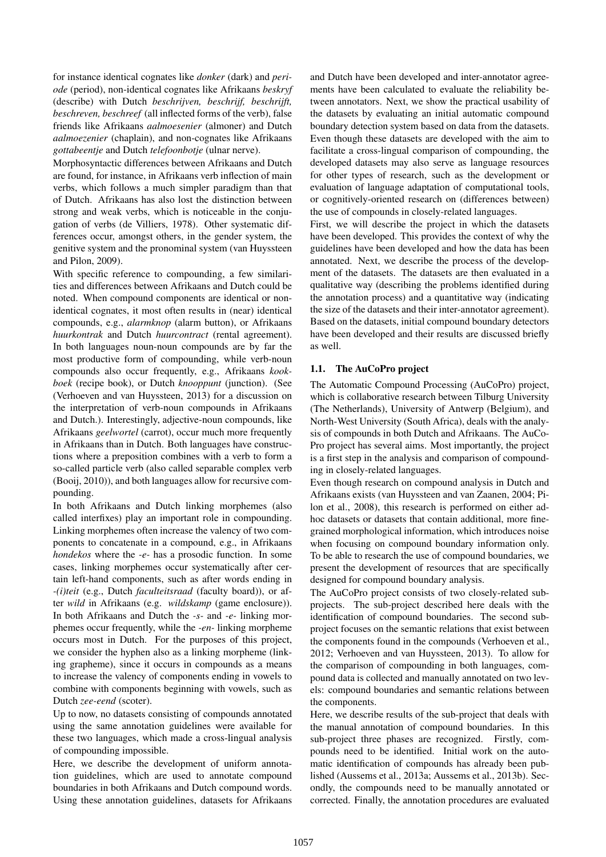for instance identical cognates like *donker* (dark) and *periode* (period), non-identical cognates like Afrikaans *beskryf* (describe) with Dutch *beschrijven, beschrijf, beschrijft, beschreven, beschreef* (all inflected forms of the verb), false friends like Afrikaans *aalmoesenier* (almoner) and Dutch *aalmoezenier* (chaplain), and non-cognates like Afrikaans *gottabeentje* and Dutch *telefoonbotje* (ulnar nerve).

Morphosyntactic differences between Afrikaans and Dutch are found, for instance, in Afrikaans verb inflection of main verbs, which follows a much simpler paradigm than that of Dutch. Afrikaans has also lost the distinction between strong and weak verbs, which is noticeable in the conjugation of verbs (de Villiers, 1978). Other systematic differences occur, amongst others, in the gender system, the genitive system and the pronominal system (van Huyssteen and Pilon, 2009).

With specific reference to compounding, a few similarities and differences between Afrikaans and Dutch could be noted. When compound components are identical or nonidentical cognates, it most often results in (near) identical compounds, e.g., *alarmknop* (alarm button), or Afrikaans *huurkontrak* and Dutch *huurcontract* (rental agreement). In both languages noun-noun compounds are by far the most productive form of compounding, while verb-noun compounds also occur frequently, e.g., Afrikaans *kookboek* (recipe book), or Dutch *knooppunt* (junction). (See (Verhoeven and van Huyssteen, 2013) for a discussion on the interpretation of verb-noun compounds in Afrikaans and Dutch.). Interestingly, adjective-noun compounds, like Afrikaans *geelwortel* (carrot), occur much more frequently in Afrikaans than in Dutch. Both languages have constructions where a preposition combines with a verb to form a so-called particle verb (also called separable complex verb (Booij, 2010)), and both languages allow for recursive compounding.

In both Afrikaans and Dutch linking morphemes (also called interfixes) play an important role in compounding. Linking morphemes often increase the valency of two components to concatenate in a compound, e.g., in Afrikaans *hondekos* where the *-e-* has a prosodic function. In some cases, linking morphemes occur systematically after certain left-hand components, such as after words ending in *-(i)teit* (e.g., Dutch *faculteitsraad* (faculty board)), or after *wild* in Afrikaans (e.g. *wildskamp* (game enclosure)). In both Afrikaans and Dutch the *-s-* and *-e-* linking morphemes occur frequently, while the *-en-* linking morpheme occurs most in Dutch. For the purposes of this project, we consider the hyphen also as a linking morpheme (linking grapheme), since it occurs in compounds as a means to increase the valency of components ending in vowels to combine with components beginning with vowels, such as Dutch *zee-eend* (scoter).

Up to now, no datasets consisting of compounds annotated using the same annotation guidelines were available for these two languages, which made a cross-lingual analysis of compounding impossible.

Here, we describe the development of uniform annotation guidelines, which are used to annotate compound boundaries in both Afrikaans and Dutch compound words. Using these annotation guidelines, datasets for Afrikaans and Dutch have been developed and inter-annotator agreements have been calculated to evaluate the reliability between annotators. Next, we show the practical usability of the datasets by evaluating an initial automatic compound boundary detection system based on data from the datasets. Even though these datasets are developed with the aim to facilitate a cross-lingual comparison of compounding, the developed datasets may also serve as language resources for other types of research, such as the development or evaluation of language adaptation of computational tools, or cognitively-oriented research on (differences between) the use of compounds in closely-related languages.

First, we will describe the project in which the datasets have been developed. This provides the context of why the guidelines have been developed and how the data has been annotated. Next, we describe the process of the development of the datasets. The datasets are then evaluated in a qualitative way (describing the problems identified during the annotation process) and a quantitative way (indicating the size of the datasets and their inter-annotator agreement). Based on the datasets, initial compound boundary detectors have been developed and their results are discussed briefly as well.

#### 1.1. The AuCoPro project

The Automatic Compound Processing (AuCoPro) project, which is collaborative research between Tilburg University (The Netherlands), University of Antwerp (Belgium), and North-West University (South Africa), deals with the analysis of compounds in both Dutch and Afrikaans. The AuCo-Pro project has several aims. Most importantly, the project is a first step in the analysis and comparison of compounding in closely-related languages.

Even though research on compound analysis in Dutch and Afrikaans exists (van Huyssteen and van Zaanen, 2004; Pilon et al., 2008), this research is performed on either adhoc datasets or datasets that contain additional, more finegrained morphological information, which introduces noise when focusing on compound boundary information only. To be able to research the use of compound boundaries, we present the development of resources that are specifically designed for compound boundary analysis.

The AuCoPro project consists of two closely-related subprojects. The sub-project described here deals with the identification of compound boundaries. The second subproject focuses on the semantic relations that exist between the components found in the compounds (Verhoeven et al., 2012; Verhoeven and van Huyssteen, 2013). To allow for the comparison of compounding in both languages, compound data is collected and manually annotated on two levels: compound boundaries and semantic relations between the components.

Here, we describe results of the sub-project that deals with the manual annotation of compound boundaries. In this sub-project three phases are recognized. Firstly, compounds need to be identified. Initial work on the automatic identification of compounds has already been published (Aussems et al., 2013a; Aussems et al., 2013b). Secondly, the compounds need to be manually annotated or corrected. Finally, the annotation procedures are evaluated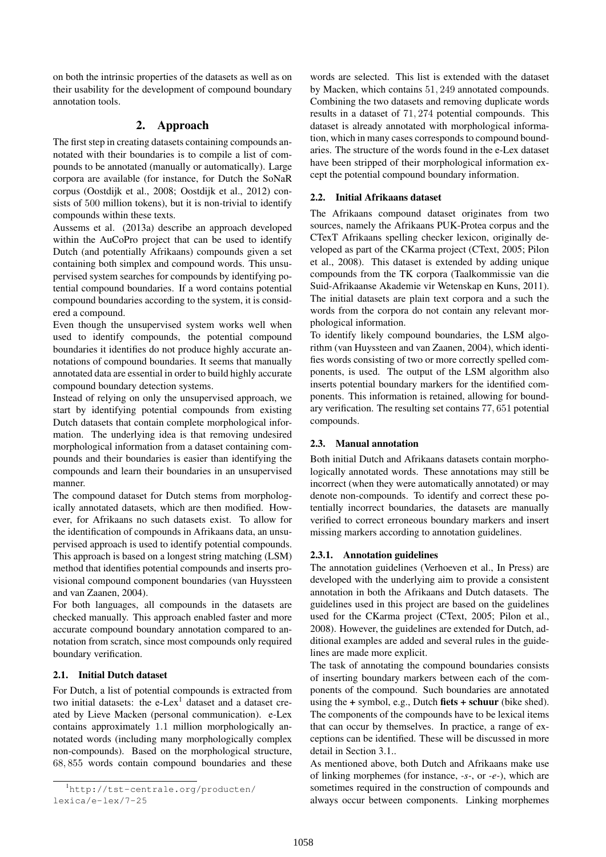on both the intrinsic properties of the datasets as well as on their usability for the development of compound boundary annotation tools.

# 2. Approach

The first step in creating datasets containing compounds annotated with their boundaries is to compile a list of compounds to be annotated (manually or automatically). Large corpora are available (for instance, for Dutch the SoNaR corpus (Oostdijk et al., 2008; Oostdijk et al., 2012) consists of 500 million tokens), but it is non-trivial to identify compounds within these texts.

Aussems et al. (2013a) describe an approach developed within the AuCoPro project that can be used to identify Dutch (and potentially Afrikaans) compounds given a set containing both simplex and compound words. This unsupervised system searches for compounds by identifying potential compound boundaries. If a word contains potential compound boundaries according to the system, it is considered a compound.

Even though the unsupervised system works well when used to identify compounds, the potential compound boundaries it identifies do not produce highly accurate annotations of compound boundaries. It seems that manually annotated data are essential in order to build highly accurate compound boundary detection systems.

Instead of relying on only the unsupervised approach, we start by identifying potential compounds from existing Dutch datasets that contain complete morphological information. The underlying idea is that removing undesired morphological information from a dataset containing compounds and their boundaries is easier than identifying the compounds and learn their boundaries in an unsupervised manner.

The compound dataset for Dutch stems from morphologically annotated datasets, which are then modified. However, for Afrikaans no such datasets exist. To allow for the identification of compounds in Afrikaans data, an unsupervised approach is used to identify potential compounds. This approach is based on a longest string matching (LSM) method that identifies potential compounds and inserts provisional compound component boundaries (van Huyssteen and van Zaanen, 2004).

For both languages, all compounds in the datasets are checked manually. This approach enabled faster and more accurate compound boundary annotation compared to annotation from scratch, since most compounds only required boundary verification.

# 2.1. Initial Dutch dataset

For Dutch, a list of potential compounds is extracted from two initial datasets: the  $e$ -Lex<sup>1</sup> dataset and a dataset created by Lieve Macken (personal communication). e-Lex contains approximately 1.1 million morphologically annotated words (including many morphologically complex non-compounds). Based on the morphological structure, 68, 855 words contain compound boundaries and these

words are selected. This list is extended with the dataset by Macken, which contains 51, 249 annotated compounds. Combining the two datasets and removing duplicate words results in a dataset of 71, 274 potential compounds. This dataset is already annotated with morphological information, which in many cases corresponds to compound boundaries. The structure of the words found in the e-Lex dataset have been stripped of their morphological information except the potential compound boundary information.

### 2.2. Initial Afrikaans dataset

The Afrikaans compound dataset originates from two sources, namely the Afrikaans PUK-Protea corpus and the CTexT Afrikaans spelling checker lexicon, originally developed as part of the CKarma project (CText, 2005; Pilon et al., 2008). This dataset is extended by adding unique compounds from the TK corpora (Taalkommissie van die Suid-Afrikaanse Akademie vir Wetenskap en Kuns, 2011). The initial datasets are plain text corpora and a such the words from the corpora do not contain any relevant morphological information.

To identify likely compound boundaries, the LSM algorithm (van Huyssteen and van Zaanen, 2004), which identifies words consisting of two or more correctly spelled components, is used. The output of the LSM algorithm also inserts potential boundary markers for the identified components. This information is retained, allowing for boundary verification. The resulting set contains 77, 651 potential compounds.

# 2.3. Manual annotation

Both initial Dutch and Afrikaans datasets contain morphologically annotated words. These annotations may still be incorrect (when they were automatically annotated) or may denote non-compounds. To identify and correct these potentially incorrect boundaries, the datasets are manually verified to correct erroneous boundary markers and insert missing markers according to annotation guidelines.

#### 2.3.1. Annotation guidelines

The annotation guidelines (Verhoeven et al., In Press) are developed with the underlying aim to provide a consistent annotation in both the Afrikaans and Dutch datasets. The guidelines used in this project are based on the guidelines used for the CKarma project (CText, 2005; Pilon et al., 2008). However, the guidelines are extended for Dutch, additional examples are added and several rules in the guidelines are made more explicit.

The task of annotating the compound boundaries consists of inserting boundary markers between each of the components of the compound. Such boundaries are annotated using the  $+$  symbol, e.g., Dutch fiets  $+$  schuur (bike shed). The components of the compounds have to be lexical items that can occur by themselves. In practice, a range of exceptions can be identified. These will be discussed in more detail in Section 3.1..

As mentioned above, both Dutch and Afrikaans make use of linking morphemes (for instance, *-s-*, or *-e-*), which are sometimes required in the construction of compounds and always occur between components. Linking morphemes

<sup>1</sup>http://tst-centrale.org/producten/ lexica/e-lex/7-25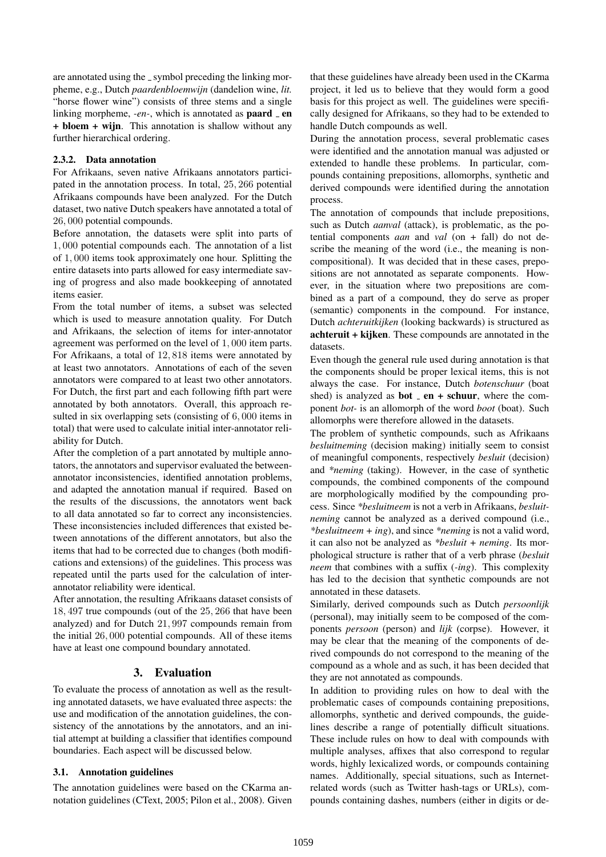are annotated using the \_symbol preceding the linking morpheme, e.g., Dutch *paardenbloemwijn* (dandelion wine, *lit.* "horse flower wine") consists of three stems and a single linking morpheme, *-en-*, which is annotated as **paard**  $\angle$  en + bloem + wijn. This annotation is shallow without any further hierarchical ordering.

#### 2.3.2. Data annotation

For Afrikaans, seven native Afrikaans annotators participated in the annotation process. In total, 25, 266 potential Afrikaans compounds have been analyzed. For the Dutch dataset, two native Dutch speakers have annotated a total of 26, 000 potential compounds.

Before annotation, the datasets were split into parts of 1, 000 potential compounds each. The annotation of a list of 1, 000 items took approximately one hour. Splitting the entire datasets into parts allowed for easy intermediate saving of progress and also made bookkeeping of annotated items easier.

From the total number of items, a subset was selected which is used to measure annotation quality. For Dutch and Afrikaans, the selection of items for inter-annotator agreement was performed on the level of 1, 000 item parts. For Afrikaans, a total of 12, 818 items were annotated by at least two annotators. Annotations of each of the seven annotators were compared to at least two other annotators. For Dutch, the first part and each following fifth part were annotated by both annotators. Overall, this approach resulted in six overlapping sets (consisting of 6, 000 items in total) that were used to calculate initial inter-annotator reliability for Dutch.

After the completion of a part annotated by multiple annotators, the annotators and supervisor evaluated the betweenannotator inconsistencies, identified annotation problems, and adapted the annotation manual if required. Based on the results of the discussions, the annotators went back to all data annotated so far to correct any inconsistencies. These inconsistencies included differences that existed between annotations of the different annotators, but also the items that had to be corrected due to changes (both modifications and extensions) of the guidelines. This process was repeated until the parts used for the calculation of interannotator reliability were identical.

After annotation, the resulting Afrikaans dataset consists of 18, 497 true compounds (out of the 25, 266 that have been analyzed) and for Dutch 21, 997 compounds remain from the initial 26, 000 potential compounds. All of these items have at least one compound boundary annotated.

#### 3. Evaluation

To evaluate the process of annotation as well as the resulting annotated datasets, we have evaluated three aspects: the use and modification of the annotation guidelines, the consistency of the annotations by the annotators, and an initial attempt at building a classifier that identifies compound boundaries. Each aspect will be discussed below.

#### 3.1. Annotation guidelines

The annotation guidelines were based on the CKarma annotation guidelines (CText, 2005; Pilon et al., 2008). Given that these guidelines have already been used in the CKarma project, it led us to believe that they would form a good basis for this project as well. The guidelines were specifically designed for Afrikaans, so they had to be extended to handle Dutch compounds as well.

During the annotation process, several problematic cases were identified and the annotation manual was adjusted or extended to handle these problems. In particular, compounds containing prepositions, allomorphs, synthetic and derived compounds were identified during the annotation process.

The annotation of compounds that include prepositions, such as Dutch *aanval* (attack), is problematic, as the potential components *aan* and *val* (on + fall) do not describe the meaning of the word (i.e., the meaning is noncompositional). It was decided that in these cases, prepositions are not annotated as separate components. However, in the situation where two prepositions are combined as a part of a compound, they do serve as proper (semantic) components in the compound. For instance, Dutch *achteruitkijken* (looking backwards) is structured as achteruit + kijken. These compounds are annotated in the datasets.

Even though the general rule used during annotation is that the components should be proper lexical items, this is not always the case. For instance, Dutch *botenschuur* (boat shed) is analyzed as **bot**  $=$  **en**  $+$  **schuur**, where the component *bot-* is an allomorph of the word *boot* (boat). Such allomorphs were therefore allowed in the datasets.

The problem of synthetic compounds, such as Afrikaans *besluitneming* (decision making) initially seem to consist of meaningful components, respectively *besluit* (decision) and *\*neming* (taking). However, in the case of synthetic compounds, the combined components of the compound are morphologically modified by the compounding process. Since *\*besluitneem* is not a verb in Afrikaans, *besluitneming* cannot be analyzed as a derived compound (i.e., *\*besluitneem + ing*), and since *\*neming* is not a valid word, it can also not be analyzed as *\*besluit + neming*. Its morphological structure is rather that of a verb phrase (*besluit neem* that combines with a suffix (*-ing*). This complexity has led to the decision that synthetic compounds are not annotated in these datasets.

Similarly, derived compounds such as Dutch *persoonlijk* (personal), may initially seem to be composed of the components *persoon* (person) and *lijk* (corpse). However, it may be clear that the meaning of the components of derived compounds do not correspond to the meaning of the compound as a whole and as such, it has been decided that they are not annotated as compounds.

In addition to providing rules on how to deal with the problematic cases of compounds containing prepositions, allomorphs, synthetic and derived compounds, the guidelines describe a range of potentially difficult situations. These include rules on how to deal with compounds with multiple analyses, affixes that also correspond to regular words, highly lexicalized words, or compounds containing names. Additionally, special situations, such as Internetrelated words (such as Twitter hash-tags or URLs), compounds containing dashes, numbers (either in digits or de-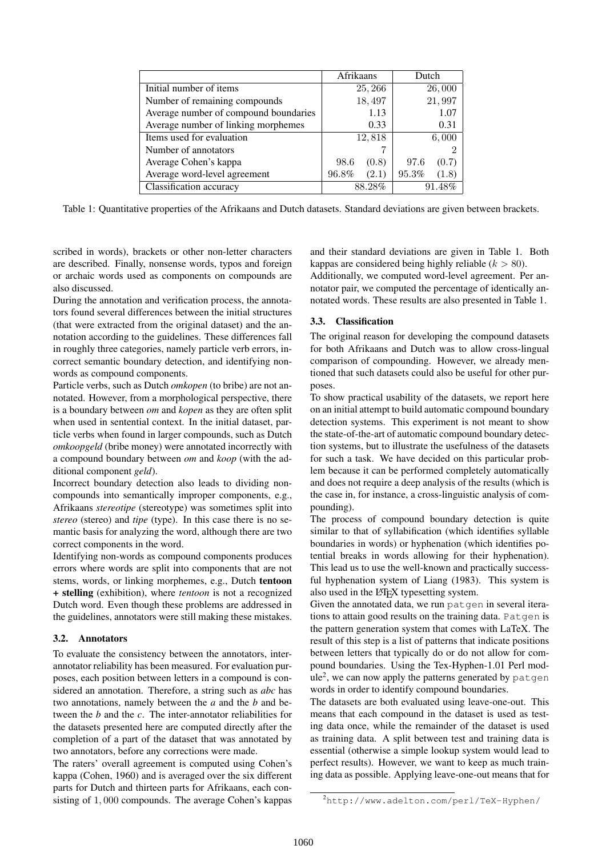|                                       | Afrikaans      | Dutch          |
|---------------------------------------|----------------|----------------|
| Initial number of items               | 25, 266        | 26,000         |
| Number of remaining compounds         | 18,497         | 21,997         |
| Average number of compound boundaries | 1.13           | 1.07           |
| Average number of linking morphemes   | 0.33           | 0.31           |
| Items used for evaluation             | 12,818         | 6,000          |
| Number of annotators                  |                |                |
| Average Cohen's kappa                 | 98.6<br>(0.8)  | 97.6<br>(0.7)  |
| Average word-level agreement          | 96.8%<br>(2.1) | 95.3%<br>(1.8) |
| Classification accuracy               | 88.28%         | 91.48%         |

Table 1: Quantitative properties of the Afrikaans and Dutch datasets. Standard deviations are given between brackets.

scribed in words), brackets or other non-letter characters are described. Finally, nonsense words, typos and foreign or archaic words used as components on compounds are also discussed.

During the annotation and verification process, the annotators found several differences between the initial structures (that were extracted from the original dataset) and the annotation according to the guidelines. These differences fall in roughly three categories, namely particle verb errors, incorrect semantic boundary detection, and identifying nonwords as compound components.

Particle verbs, such as Dutch *omkopen* (to bribe) are not annotated. However, from a morphological perspective, there is a boundary between *om* and *kopen* as they are often split when used in sentential context. In the initial dataset, particle verbs when found in larger compounds, such as Dutch *omkoopgeld* (bribe money) were annotated incorrectly with a compound boundary between *om* and *koop* (with the additional component *geld*).

Incorrect boundary detection also leads to dividing noncompounds into semantically improper components, e.g., Afrikaans *stereotipe* (stereotype) was sometimes split into *stereo* (stereo) and *tipe* (type). In this case there is no semantic basis for analyzing the word, although there are two correct components in the word.

Identifying non-words as compound components produces errors where words are split into components that are not stems, words, or linking morphemes, e.g., Dutch tentoon + stelling (exhibition), where *tentoon* is not a recognized Dutch word. Even though these problems are addressed in the guidelines, annotators were still making these mistakes.

#### 3.2. Annotators

To evaluate the consistency between the annotators, interannotator reliability has been measured. For evaluation purposes, each position between letters in a compound is considered an annotation. Therefore, a string such as *abc* has two annotations, namely between the *a* and the *b* and between the *b* and the *c*. The inter-annotator reliabilities for the datasets presented here are computed directly after the completion of a part of the dataset that was annotated by two annotators, before any corrections were made.

The raters' overall agreement is computed using Cohen's kappa (Cohen, 1960) and is averaged over the six different parts for Dutch and thirteen parts for Afrikaans, each consisting of 1, 000 compounds. The average Cohen's kappas

and their standard deviations are given in Table 1. Both kappas are considered being highly reliable  $(k > 80)$ .

Additionally, we computed word-level agreement. Per annotator pair, we computed the percentage of identically annotated words. These results are also presented in Table 1.

#### 3.3. Classification

The original reason for developing the compound datasets for both Afrikaans and Dutch was to allow cross-lingual comparison of compounding. However, we already mentioned that such datasets could also be useful for other purposes.

To show practical usability of the datasets, we report here on an initial attempt to build automatic compound boundary detection systems. This experiment is not meant to show the state-of-the-art of automatic compound boundary detection systems, but to illustrate the usefulness of the datasets for such a task. We have decided on this particular problem because it can be performed completely automatically and does not require a deep analysis of the results (which is the case in, for instance, a cross-linguistic analysis of compounding).

The process of compound boundary detection is quite similar to that of syllabification (which identifies syllable boundaries in words) or hyphenation (which identifies potential breaks in words allowing for their hyphenation). This lead us to use the well-known and practically successful hyphenation system of Liang (1983). This system is also used in the L<sup>H</sup>FX typesetting system.

Given the annotated data, we run patgen in several iterations to attain good results on the training data. Patgen is the pattern generation system that comes with LaTeX. The result of this step is a list of patterns that indicate positions between letters that typically do or do not allow for compound boundaries. Using the Tex-Hyphen-1.01 Perl mod $ule^2$ , we can now apply the patterns generated by  $pattern$ words in order to identify compound boundaries.

The datasets are both evaluated using leave-one-out. This means that each compound in the dataset is used as testing data once, while the remainder of the dataset is used as training data. A split between test and training data is essential (otherwise a simple lookup system would lead to perfect results). However, we want to keep as much training data as possible. Applying leave-one-out means that for

<sup>2</sup>http://www.adelton.com/perl/TeX-Hyphen/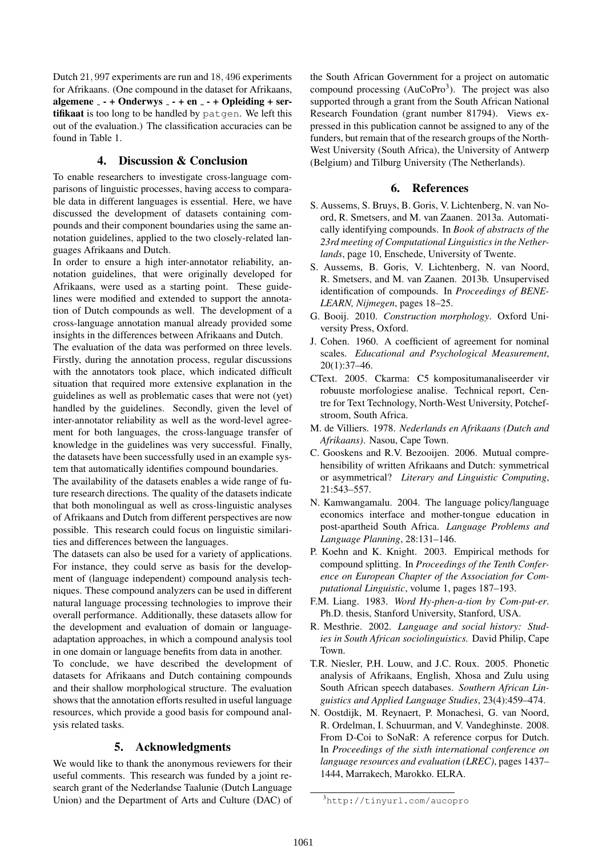Dutch 21, 997 experiments are run and 18, 496 experiments for Afrikaans. (One compound in the dataset for Afrikaans, algemene  $-$  - + Onderwys  $-$  - + en  $-$  - + Opleiding + sertifikaat is too long to be handled by patgen. We left this out of the evaluation.) The classification accuracies can be found in Table 1.

# 4. Discussion & Conclusion

To enable researchers to investigate cross-language comparisons of linguistic processes, having access to comparable data in different languages is essential. Here, we have discussed the development of datasets containing compounds and their component boundaries using the same annotation guidelines, applied to the two closely-related languages Afrikaans and Dutch.

In order to ensure a high inter-annotator reliability, annotation guidelines, that were originally developed for Afrikaans, were used as a starting point. These guidelines were modified and extended to support the annotation of Dutch compounds as well. The development of a cross-language annotation manual already provided some insights in the differences between Afrikaans and Dutch.

The evaluation of the data was performed on three levels. Firstly, during the annotation process, regular discussions with the annotators took place, which indicated difficult situation that required more extensive explanation in the guidelines as well as problematic cases that were not (yet) handled by the guidelines. Secondly, given the level of inter-annotator reliability as well as the word-level agreement for both languages, the cross-language transfer of knowledge in the guidelines was very successful. Finally, the datasets have been successfully used in an example system that automatically identifies compound boundaries.

The availability of the datasets enables a wide range of future research directions. The quality of the datasets indicate that both monolingual as well as cross-linguistic analyses of Afrikaans and Dutch from different perspectives are now possible. This research could focus on linguistic similarities and differences between the languages.

The datasets can also be used for a variety of applications. For instance, they could serve as basis for the development of (language independent) compound analysis techniques. These compound analyzers can be used in different natural language processing technologies to improve their overall performance. Additionally, these datasets allow for the development and evaluation of domain or languageadaptation approaches, in which a compound analysis tool in one domain or language benefits from data in another.

To conclude, we have described the development of datasets for Afrikaans and Dutch containing compounds and their shallow morphological structure. The evaluation shows that the annotation efforts resulted in useful language resources, which provide a good basis for compound analysis related tasks.

# 5. Acknowledgments

We would like to thank the anonymous reviewers for their useful comments. This research was funded by a joint research grant of the Nederlandse Taalunie (Dutch Language Union) and the Department of Arts and Culture (DAC) of the South African Government for a project on automatic compound processing  $(AuCoPro<sup>3</sup>)$ . The project was also supported through a grant from the South African National Research Foundation (grant number 81794). Views expressed in this publication cannot be assigned to any of the funders, but remain that of the research groups of the North-West University (South Africa), the University of Antwerp (Belgium) and Tilburg University (The Netherlands).

#### 6. References

- S. Aussems, S. Bruys, B. Goris, V. Lichtenberg, N. van Noord, R. Smetsers, and M. van Zaanen. 2013a. Automatically identifying compounds. In *Book of abstracts of the 23rd meeting of Computational Linguistics in the Netherlands*, page 10, Enschede, University of Twente.
- S. Aussems, B. Goris, V. Lichtenberg, N. van Noord, R. Smetsers, and M. van Zaanen. 2013b. Unsupervised identification of compounds. In *Proceedings of BENE-LEARN, Nijmegen*, pages 18–25.
- G. Booij. 2010. *Construction morphology*. Oxford University Press, Oxford.
- J. Cohen. 1960. A coefficient of agreement for nominal scales. *Educational and Psychological Measurement*, 20(1):37–46.
- CText. 2005. Ckarma: C5 kompositumanaliseerder vir robuuste morfologiese analise. Technical report, Centre for Text Technology, North-West University, Potchefstroom, South Africa.
- M. de Villiers. 1978. *Nederlands en Afrikaans (Dutch and Afrikaans)*. Nasou, Cape Town.
- C. Gooskens and R.V. Bezooijen. 2006. Mutual comprehensibility of written Afrikaans and Dutch: symmetrical or asymmetrical? *Literary and Linguistic Computing*, 21:543–557.
- N. Kamwangamalu. 2004. The language policy/language economics interface and mother-tongue education in post-apartheid South Africa. *Language Problems and Language Planning*, 28:131–146.
- P. Koehn and K. Knight. 2003. Empirical methods for compound splitting. In *Proceedings of the Tenth Conference on European Chapter of the Association for Computational Linguistic*, volume 1, pages 187–193.
- F.M. Liang. 1983. *Word Hy-phen-a-tion by Com-put-er*. Ph.D. thesis, Stanford University, Stanford, USA.
- R. Mesthrie. 2002. *Language and social history: Studies in South African sociolinguistics.* David Philip, Cape Town.
- T.R. Niesler, P.H. Louw, and J.C. Roux. 2005. Phonetic analysis of Afrikaans, English, Xhosa and Zulu using South African speech databases. *Southern African Linguistics and Applied Language Studies*, 23(4):459–474.
- N. Oostdijk, M. Reynaert, P. Monachesi, G. van Noord, R. Ordelman, I. Schuurman, and V. Vandeghinste. 2008. From D-Coi to SoNaR: A reference corpus for Dutch. In *Proceedings of the sixth international conference on language resources and evaluation (LREC)*, pages 1437– 1444, Marrakech, Marokko. ELRA.

<sup>3</sup>http://tinyurl.com/aucopro